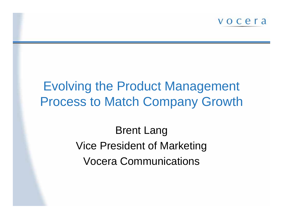

# Evolving the Product Management Process to Match Company Growth

Brent Lang Vice President of Marketing Vocera Communications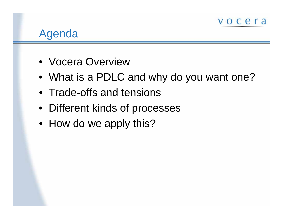

### Agenda

- Vocera Overview
- What is a PDLC and why do you want one?
- Trade-offs and tensions
- Different kinds of processes
- How do we apply this?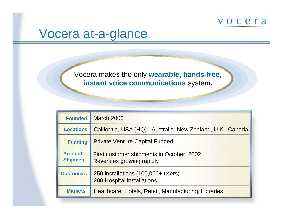## Vocera at-a-glance

Vocera makes the only **wearable, hands-free, instant voice communications** syste m**.**

| <b>Founded</b>                    | <b>March 2000</b>                                                       |
|-----------------------------------|-------------------------------------------------------------------------|
| <b>Locations</b>                  | California, USA (HQ). Australia, New Zealand, U.K., Canada              |
| <b>Funding</b>                    | <b>Private Venture Capital Funded</b>                                   |
| <b>Product</b><br><b>Shipment</b> | First customer shipments in October, 2002<br>Revenues growing rapidly   |
| <b>Customers</b>                  | 250 installations (100,000+ users)<br><b>200 Hospital installations</b> |
| <b>Markets</b>                    | Healthcare, Hotels, Retail, Manufacturing, Libraries                    |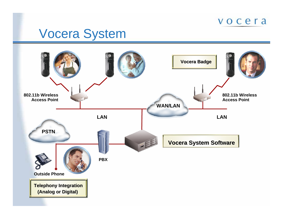## Vocera System

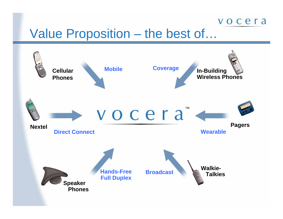# Value Proposition – the best of...

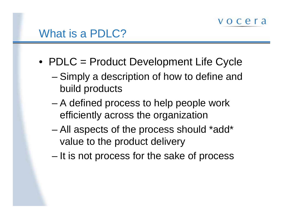- PDLC = Product Development Life Cycle
	- and the state of the state – Simply a description of how to define and build products
	- – A defined process to help people work efficiently across the organization
	- and the state of the state All aspects of the process should \*add\* value to the product delivery
	- and the state of the state  $-$  It is not process for the sake of process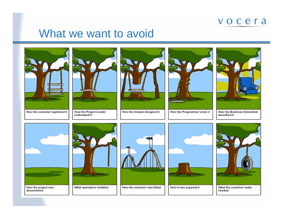### What we want to avoid





understood it



How the Analyst designed it



How the Programmer wrote it





documented



What operations installed



How the customer was biled



How it was supported



What the customer really needed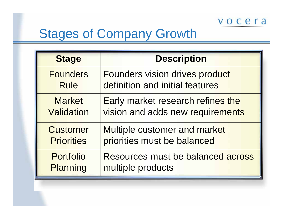# Stages of Company Growth

| <b>Stage</b>      | <b>Description</b>                |  |  |  |  |
|-------------------|-----------------------------------|--|--|--|--|
| <b>Founders</b>   | Founders vision drives product    |  |  |  |  |
| <b>Rule</b>       | definition and initial features   |  |  |  |  |
| <b>Market</b>     | Early market research refines the |  |  |  |  |
| <b>Validation</b> | vision and adds new requirements  |  |  |  |  |
| <b>Customer</b>   | Multiple customer and market      |  |  |  |  |
| <b>Priorities</b> | priorities must be balanced       |  |  |  |  |
| <b>Portfolio</b>  | Resources must be balanced across |  |  |  |  |
| <b>Planning</b>   | multiple products                 |  |  |  |  |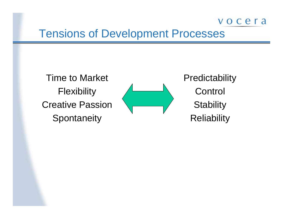### Tensions of Development Processes

Time to Market **Flexibility** Creative Passion**Spontaneity** 



**Predictability Control Stability Reliability**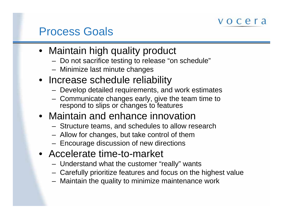## Process Goals

- Maintain high quality product
	- Do not sacrifice testing to release "on schedule"
	- Minimize last minute changes
- Increase schedule reliability
	- Develop detailed requirements, and work estimates
	- Communicate changes early, give the team time to respond to slips or changes to features
- Maintain and enhance innovation
	- Structure teams, and schedules to allow research
	- Allow for changes, but take control of them
	- $-$  Encourage discussion of new directions
- Accelerate time-to-market
	- Understand what the customer "really" wants
	- Carefully prioritize features and focus on the highest value
	- Maintain the quality to minimize maintenance work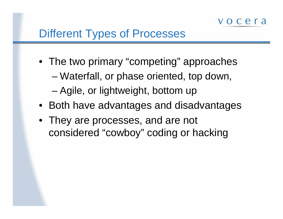- The two primary "competing" approaches
	- and the state of the state Waterfall, or phase oriented, top down,
	- and the state of Agile, or lightweight, bottom up
- Both have advantages and disadvantages
- They are processes, and are not considered "cowboy" coding or hacking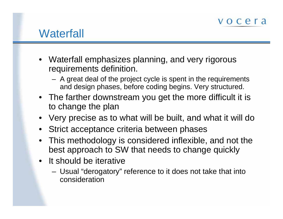## **Waterfall**

- Waterfall emphasizes planning, and very rigorous requirements definition.
	- A great deal of the project cycle is spent in the requirements and design phases, before coding begins. Very structured.
- The farther downstream you get the more difficult it is to change the plan
- Very precise as to what will be built, and what it will do
- •Strict acceptance criteria between phases
- • This methodology is considered inflexible, and not the best approach to SW that needs to change quickly
- It should be iterative
	- – Usual "derogatory" reference to it does not take that into consideration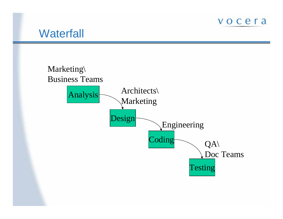

### **Waterfall**

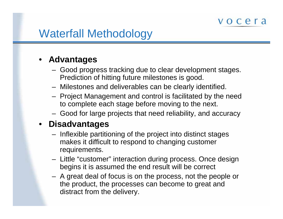# Waterfall Methodology

### • **Advantages**

- Good progress tracking due to clear development stages. Prediction of hitting future milestones is good.
- Milestones and deliverables can be clearly identified.
- Projec t Management and control is facilitated by the need to complete each stage before moving to the next.
- Good for large projects that need reliability, and accuracy

#### • **Disadvantages**

- Inflexible partitioning of the project into distinct stages makes it difficult to respond to changing customer requirements.
- Little "customer" interaction during process. Once design begins it is assumed the end result will be correct
- A great deal of focus is on the process, not the people or the product, the processes can become to great and distract from the delivery.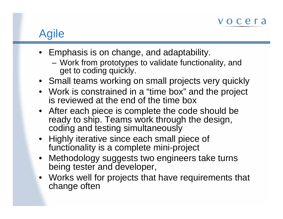# Agile

- Emphasis is on change, and adaptability.
	- Work from prototypes to validate functionality, and get to coding quickly.
- Small teams working on small projects very quickly
- Work is constrained in a "time box" and the project is reviewed at the end of the time box
- After each piece is complete the code should be ready to ship. Teams work through the design, coding and testing simultaneously
- Highly iterative since each small piece of functionality is a complete mini-project
- Methodology suggests two engineers take turns being tester and developer,
- Works well for projects that have requirements that change often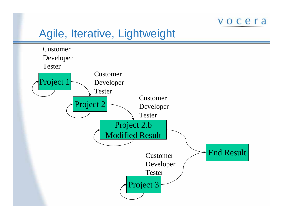### Agile, Iterative, Lightweight

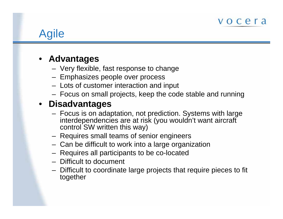# Agile

### • **Advantages**

- –Very flexible, fast response to change
- –– Emphasizes people over process
- $-$  Lots of customer interaction and input
- Focus on small projects, keep the code stable and running

### • **Disadvantages**

- Focus is on adaptation, not prediction. Systems with large interdependencies are at risk (you wouldn't want aircraft control SW written this way)
- Requires small teams of senior engineers
- Can be difficult to work into a large organization
- Requires all participants to be co-located
- Difficult to document
- Difficult to coordinate large projects that require pieces to fit together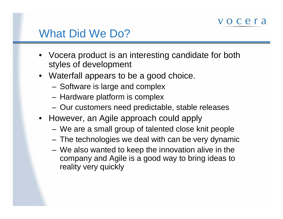## What Did We Do?

- Vocera product is an interesting candidate for both styles of development
- Waterfall appears to be a good choice.
	- Software is large and complex
	- Hardware platform is complex
	- Our customers need predictable, stable releases
- However, an Agile approach could apply
	- We are a small group of talented close knit people
	- The technologies we deal with can be very dynamic
	- We also wanted to keep the innovation alive in the company and Agile is a good way to bring ideas to reality very quickly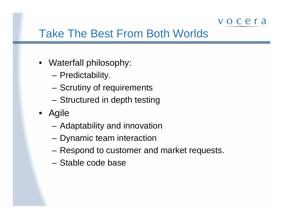## Take The Best From Both Worlds

- Waterfall philosophy:
	- Predictability.
	- Scrutiny of requirements
	- Structured in depth testing
- Agile
	- Adaptability and innovation
	- Dynamic team interaction
	- Respond to customer and market requests.
	- Stable code base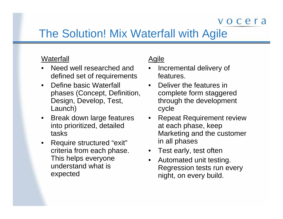## The Solution! Mix Waterfall with Agile

#### **Waterfall**

- •Need well researched and defined set of requirements
- $\bullet$ Define basic Waterfall phases (Concept, Definition, Design, Dev elop, Test, Launch)
- $\bullet$ Break down large features into prioritized, detailed tasks
- $\bullet$ Require structured " exit" criteria from each phase. This helps everyone understand what is expected

#### **Agile**

- • Incremental delivery of features.
- Deliver the features in complete form staggered through the development cycle
- •Repeat Requirement review at each phase, keep Marketing and the customer in all phases
- •Test early, test often
- •Automated unit testing. Regression tests run every night, on every build.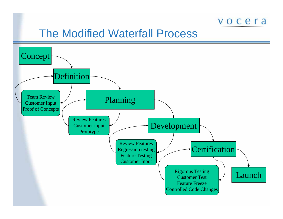### The Modified Waterfall Process

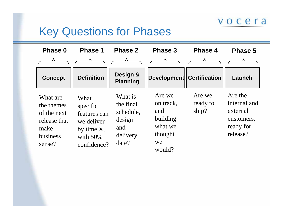## Key Questions for Phases

| Phase 0                                                                             | <b>Phase 1</b>                                                                             | <b>Phase 2</b>                                                          | Phase 3                                                                      | <b>Phase 4</b>              | Phase 5                                                                    |
|-------------------------------------------------------------------------------------|--------------------------------------------------------------------------------------------|-------------------------------------------------------------------------|------------------------------------------------------------------------------|-----------------------------|----------------------------------------------------------------------------|
| <b>Concept</b>                                                                      | <b>Definition</b>                                                                          | Design &<br><b>Planning</b>                                             | <b>Development</b>                                                           | <b>Certification</b>        | Launch                                                                     |
| What are<br>the themes<br>of the next<br>release that<br>make<br>business<br>sense? | What<br>specific<br>features can<br>we deliver<br>by time X,<br>with $50\%$<br>confidence? | What is<br>the final<br>schedule,<br>design<br>and<br>delivery<br>date? | Are we<br>on track,<br>and<br>building<br>what we<br>thought<br>we<br>would? | Are we<br>ready to<br>ship? | Are the<br>internal and<br>external<br>customers,<br>ready for<br>release? |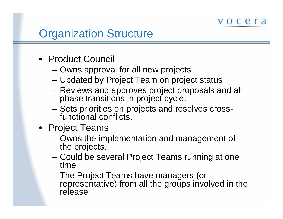## Organization Structure

- Product Council
	- Owns approval for all new projects
	- Updated by Project Team on project status
	- Reviews and approves project proposals and all phase transitions in project cycle.
	- Sets priorities on projects and resolves crossfunctional conflicts.
- Project Teams
	- Owns the implementation and management of the projects.
	- Could be several Project Teams running at one time
	- The Project Teams have managers (or representative) from all the groups involved in the release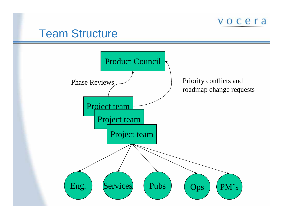

### Team Structure

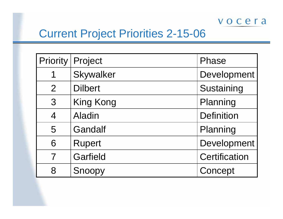## Current Project Priorities 2-15-06

| Priority                | Project        | Phase             |
|-------------------------|----------------|-------------------|
| 1                       | Skywalker      | Development       |
| $\overline{2}$          | <b>Dilbert</b> | Sustaining        |
| 3                       | King Kong      | Planning          |
| $\overline{4}$          | <b>Aladin</b>  | <b>Definition</b> |
| 5                       | Gandalf        | Planning          |
| 6                       | <b>Rupert</b>  | Development       |
| $\overline{\mathbf{7}}$ | Garfield       | Certification     |
| 8                       | Snoopy         | Concept           |